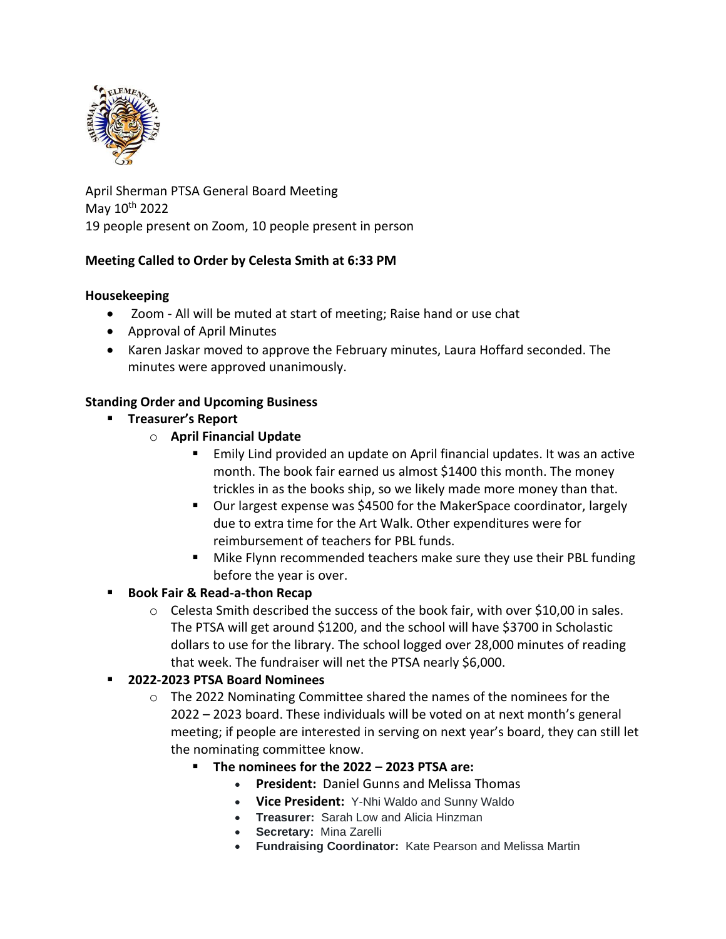

April Sherman PTSA General Board Meeting May 10th 2022 19 people present on Zoom, 10 people present in person

# **Meeting Called to Order by Celesta Smith at 6:33 PM**

### **Housekeeping**

- Zoom All will be muted at start of meeting; Raise hand or use chat
- Approval of April Minutes
- Karen Jaskar moved to approve the February minutes, Laura Hoffard seconded. The minutes were approved unanimously.

# **Standing Order and Upcoming Business**

- **Treasurer's Report**
	- o **April Financial Update**
		- Emily Lind provided an update on April financial updates. It was an active month. The book fair earned us almost \$1400 this month. The money trickles in as the books ship, so we likely made more money than that.
		- Our largest expense was \$4500 for the MakerSpace coordinator, largely due to extra time for the Art Walk. Other expenditures were for reimbursement of teachers for PBL funds.
		- Mike Flynn recommended teachers make sure they use their PBL funding before the year is over.

# ▪ **Book Fair & Read-a-thon Recap**

 $\circ$  Celesta Smith described the success of the book fair, with over \$10,00 in sales. The PTSA will get around \$1200, and the school will have \$3700 in Scholastic dollars to use for the library. The school logged over 28,000 minutes of reading that week. The fundraiser will net the PTSA nearly \$6,000.

# ▪ **2022-2023 PTSA Board Nominees**

- $\circ$  The 2022 Nominating Committee shared the names of the nominees for the 2022 – 2023 board. These individuals will be voted on at next month's general meeting; if people are interested in serving on next year's board, they can still let the nominating committee know.
	- **The nominees for the 2022 – 2023 PTSA are:**
		- **President:** Daniel Gunns and Melissa Thomas
		- **Vice President:** Y-Nhi Waldo and Sunny Waldo
		- **Treasurer:** Sarah Low and Alicia Hinzman
		- **Secretary:** Mina Zarelli
		- **Fundraising Coordinator:** Kate Pearson and Melissa Martin